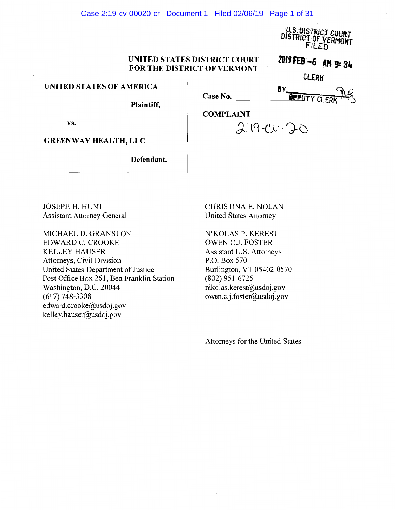#### Case 2:19-cv-00020-cr Document 1 Filed 02/06/19 Page 1 of 31

U.S. UISTRICT COURT fSTRICT OF VERMoHT rlLEO

# UNITED STATES DISTRICT COURT UNITED STATES DISTRICT COURT **zuiffEB ~6 AM 9: 34**<br>FOR THE DISTRICT OF VERMONT

*CLERK* 

**8Y,.** Qi,<Q

### UNITED STATES OF AMERICA

Plaintiff,

| Case No.         | <b>BREUTY CLERK</b> TV |
|------------------|------------------------|
| <b>COMPLAINT</b> |                        |

*J:* \9 -C,;l' -?-o

vs.

GREENWAY HEALTH, LLC

Defendant.

JOSEPH H. HUNT Assistant Attorney General

MICHAEL D. GRANSTON EDWARD C. CROOKE KELLEY HAUSER Attorneys, Civil Division United States Department of Justice Post Office Box 261, Ben Franklin Station Washington, D.C. 20044 (617) 748-3308 edward.crooke@usdoj.gov kelley .hauser@usdoj.gov

CHRISTINA E. NOLAN United States Attorney

NIKOLAS P. KEREST OWEN C.J. FOSTER Assistant U.S. Attorneys P.O. Box 570 Burlington, VT 05402-0570 (802) 951-6725 nikolas.kerest@usdoj.gov owen.c.j .foster@usdoj.gov

Attorneys for the United States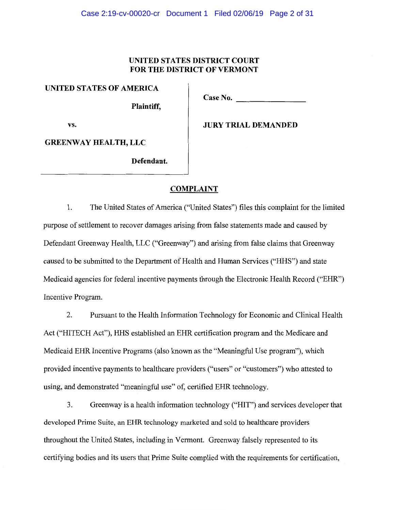## **UNITED STATES DISTRICT COURT FOR THE DISTRICT OF VERMONT**

**UNITED STATES OF AMERICA** 

**Case No.** -------- **Plaintiff,** 

vs. **JURY TRIAL DEMANDED** 

**GREENWAY HEALTH, LLC** 

**Defendant.** 

### **COMPLAINT**

1. The United States of America ("United States") files this complaint for the limited purpose of settlement to recover damages arising from false statements made and caused by Defendant Greenway Health, LLC ("Greenway") and arising from false claims that Greenway caused to be submitted to the Department of Health and Human Services ("HHS") and state Medicaid agencies for federal incentive payments through the Electronic Health Record ("EHR") Incentive Program.

2. Pursuant to the Health Information Technology for Economic and Clinical Health Act ("HITECH Act"), HHS established an EHR certification program and the Medicare and Medicaid EHR Incentive Programs (also known as the "Meaningful Use program"), which provided incentive payments to healthcare providers ("users" or "customers") who attested to using, and demonstrated "meaningful use" of, certified EHR technology.

3. Greenway is a health information technology ("HIT") and services developer that developed Prime Suite, an EHR technology marketed and sold to healthcare providers throughout the United States, including in Vermont. Greenway falsely represented to its certifying bodies and its users that Prime Suite complied with the requirements for certification,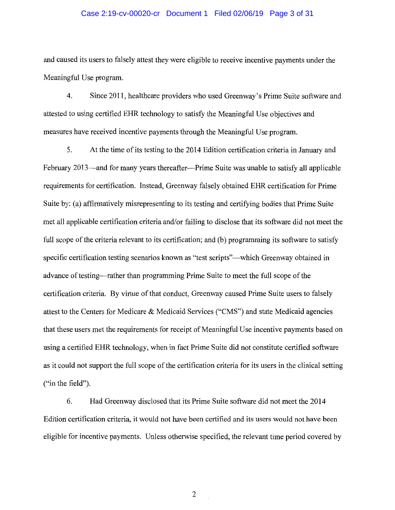#### Case 2:19-cv-00020-cr Document 1 Filed 02/06/19 Page 3 of 31

and caused its users to falsely attest they were eligible to receive incentive payments under the Meaningful Use program.

4. Since 2011, healthcare providers who used Greenway's Prime Suite software and attested to using certified EHR technology to satisfy the Meaningful Use objectives and measures have received incentive payments through the Meaningful Use program.

5. At the time of its testing to the 2014 Edition certification criteria in January and February 2013—and for many years thereafter—Prime Suite was unable to satisfy all applicable requirements for certification. Instead, Greenway falsely obtained EHR certification for Prime Suite by: (a) affirmatively misrepresenting to its testing and certifying bodies that Prime Suite met all applicable certification criteria and/or failing to disclose that its software did not meet the full scope of the criteria relevant to its certification; and (b) programming its software to satisfy specific certification testing scenarios known as "test scripts"—which Greenway obtained in advance of testing—rather than programming Prime Suite to meet the full scope of the certification criteria. By virtue of that conduct, Greenway caused Prime Suite users to falsely attest to the Centers for Medicare & Medicaid Services ("CMS") and state Medicaid agencies that these users met the requirements for receipt of Meaningful Use incentive payments based on using a certified EHR technology, when in fact Prime Suite did not constitute certified software as it could not support the full scope of the certification criteria for its users in the clinical setting ("in the field").

6. Had Greenway disclosed that its Prime Suite software did not meet the 2014 Edition certification criteria, it would not have been certified and its users would not have been eligible for incentive payments. Unless otherwise specified, the relevant time period covered by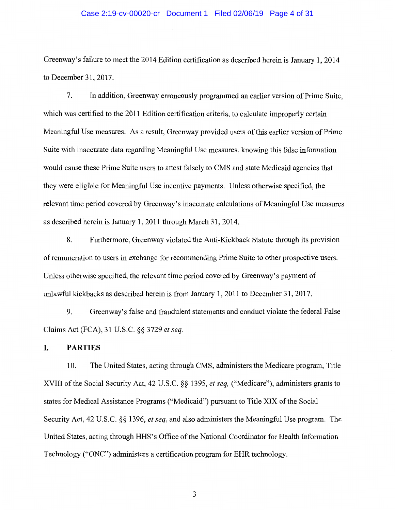#### Case 2:19-cv-00020-cr Document 1 Filed 02/06/19 Page 4 of 31

Greenway's failure to meet the 2014 Edition certification as described herein is January 1, 2014 to December 31, 2017.

7. In addition, Greenway erroneously programmed an earlier version of Prime Suite, which was certified to the 2011 Edition certification criteria, to calculate improperly certain Meaningful Use measures. As a result, Greenway provided users of this earlier version of Prime Suite with inaccurate data regarding Meaningful Use measures, knowing this false information would cause these Prime Suite users to attest falsely to CMS and state Medicaid agencies that they were eligible for Meaningful Use incentive payments. Unless otherwise specified, the relevant time period covered by Greenway's inaccurate calculations of Meaningful Use measures as described herein is January 1, 2011 through March 31, 2014.

8. Furthermore, Greenway violated the Anti-Kickback Statute through its provision of remuneration to users in exchange for recommending Prime Suite to other prospective users. Unless otherwise specified, the relevant time period covered by Greenway's payment of unlawful kickbacks as described herein is from January 1, 2011 to December 31, 2017.

9. Greenway's false and fraudulent statements and conduct violate the federal False Claims Act (FCA), 31 U.S.C. §§ 3729 *et seq.* 

### **I. PARTIES**

10. The United States, acting through CMS, administers the Medicare program, Title XVIII of the Social Security Act, 42 U.S.C. §§ 1395, *et seq,* ("Medicare"), administers grants to states for Medical Assistance Programs ("Medicaid") pursuant to Title XIX of the Social Security Act, 42 U.S.C. §§ 1396, *et seq,* and also administers the Meaningful Use program. The United States, acting through HHS's Office of the National Coordinator for Health Information Technology ("ONC") administers a certification program for EHR technology.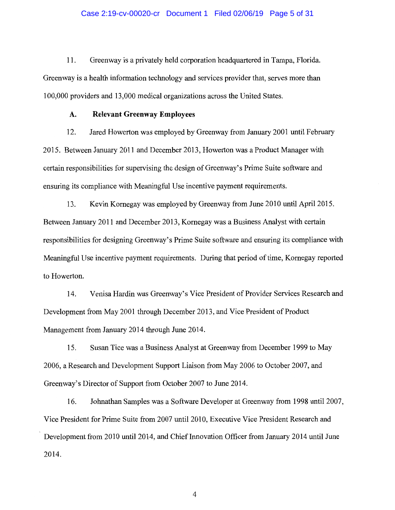#### Case 2:19-cv-00020-cr Document 1 Filed 02/06/19 Page 5 of 31

11. Greenway is a privately held corporation headquartered in Tampa, Florida. Greenway is a health information technology and services provider that, serves more than 100,000 providers and 13,000 medical organizations across the United States.

### **A. Relevant Greenway Employees**

12. Jared Howerton was employed by Greenway from January 2001 until February 2015. Between January 2011 and December 2013, Howerton was a Product Manager with certain responsibilities for supervising the design of Greenway' s Prime Suite software and ensuring its compliance with Meaningful Use incentive payment requirements.

13. Kevin Kornegay was employed by Greenway from June 2010 until April 2015. Between January 2011 and December 2013, Kornegay was a Business Analyst with certain responsibilities for designing Greenway's Prime Suite software and ensuring its compliance with Meaningful Use incentive payment requirements. During that period of time, Kornegay reported to Howerton.

14. Venisa Hardin was Greenway's Vice President of Provider Services Research and Development from May 2001 through December 2013, and Vice President of Product Management from January 2014 through June 2014.

15. Susan Tice was a Business Analyst at Greenway from December 1999 to May 2006, a Research and Development Support Liaison from May 2006 to October 2007, and Greenway's Director of Support from October 2007 to June 2014.

16. Johnathan Samples was a Software Developer at Greenway from 1998 until 2007, Vice President for Prime Suite from 2007 until 2010, Executive Vice President Research and Development from 2010 until 2014, and Chief Innovation Officer from January 2014 until June 2014.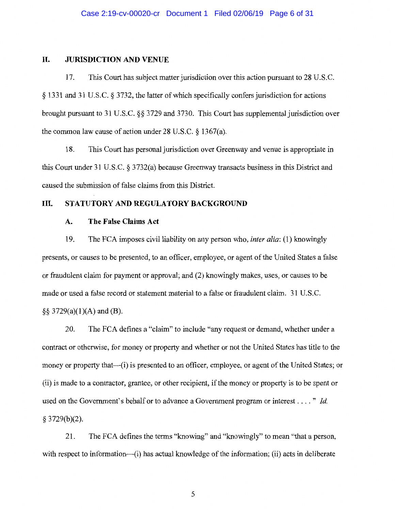#### **II. JURISDICTION AND VENUE**

17. This Court has subject matter jurisdiction over this action pursuant to 28 U.S.C. § 1331 and 31 U.S.C. § 3732, the latter of which specifically confers jurisdiction for actions brought pursuant to 31 U.S.C. §§ 3729 and 3730. This Court has supplemental jurisdiction over the common law cause of action under 28 U.S.C. § 1367(a).

18. This Court has personal jurisdiction over Greenway and venue is appropriate in this Court under 31 U.S.C. § 3732(a) because Greenway transacts business in this District and caused the submission of false claims from this District.

### **III. STATUTORY AND REGULATORY BACKGROUND**

### **A. The False Claims Act**

19. The FCA imposes civil liability on any person who, *inter alia:* (l) knowingly presents, or causes to be presented, to an officer, employee, or agent of the United States a false or fraudulent claim for payment or approval; and (2) knowingly makes, uses, or causes to be made or used a false record or statement material to a false or fraudulent claim. 31 U.S.C.  $\S$ § 3729(a)(1)(A) and (B).

20. The FCA defines a "claim" to include "any request or demand, whether under a contract or otherwise, for money or property and whether or not the United States has title to the money or property that—(i) is presented to an officer, employee, or agent of the United States; or (ii) is made to a contractor, grantee, or other recipient, if the money or property is to be spent or used on the Government's behalf or to advance a Government program or interest .... " *Id*   $§$  3729(b)(2).

21. The FCA defines the terms "knowing" and "knowingly" to mean "that a person, with respect to information—(i) has actual knowledge of the information; (ii) acts in deliberate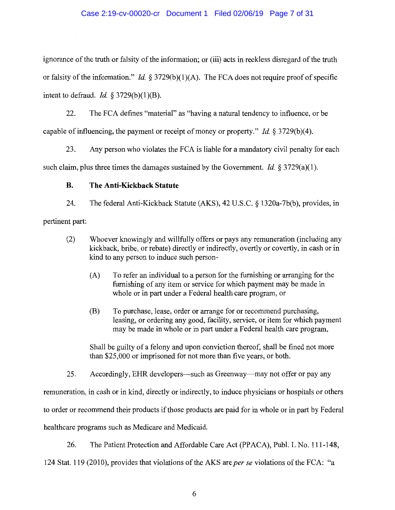### Case 2:19-cv-00020-cr Document 1 Filed 02/06/19 Page 7 of 31

ignorance of the truth or falsity of the information; or (iii) acts in reckless disregard of the truth or falsity of the information." *Id.* § 3729(b)(1)(A). The FCA does not require proof of specific intent to defraud. *Id.*  $\S 3729(b)(1)(B)$ .

22. The FCA defines "material" as "having a natural tendency to influence, or be capable of influencing, the payment or receipt of money or property." *Id.* § 3729(b)(4).

23. Any person who violates the FCA is liable for a mandatory civil penalty for each such claim, plus three times the damages sustained by the Government. *Id.* § 3729(a)(1).

## **B. The Anti-Kickback Statute**

24. The federal Anti-Kickback Statute (AKS), 42 U.S.C. § 1320a-7b(b), provides, in pertinent part:

- (2) Whoever knowingly and willfully offers or pays any remuneration (including any kickback, bribe, or rebate) directly or indirectly, overtly or covertly, in cash or in kind to any person to induce such person-
	- (A) To refer an individual to a person for the furnishing or arranging for the furnishing of any item or service for which payment may be made in whole or in part under a Federal health care program, or
	- (B) To purchase, lease, order or arrange for or recommend purchasing, leasing, or ordering any good, facility, service, or item for which payment may be made in whole or in part under a Federal health care program,

Shall be guilty of a felony and upon conviction thereof, shall be fined not more than \$25,000 or imprisoned for not more than five years, or both.

25. Accordingly, EHR developers—such as Greenway—may not offer or pay any remuneration, in cash or in kind, directly or indirectly, to induce physicians or hospitals or others to order or recommend their products if those products are paid for in whole or in part by Federal healthcare programs such as Medicare and Medicaid.

26. The Patient Protection and Affordable Care Act (PPACA), Publ. L No. 111-148,

124 Stat. 119 (2010), provides that violations of the AKS are *per se* violations of the FCA: "a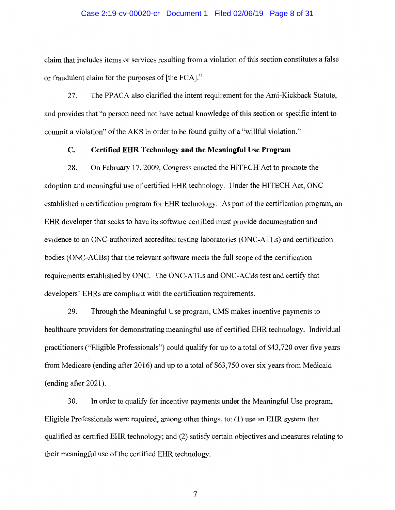#### Case 2:19-cv-00020-cr Document 1 Filed 02/06/19 Page 8 of 31

claim that includes items or services resulting from a violation of this section constitutes a false or fraudulent claim for the purposes of [the FCA]."

27. The PPACA also clarified the intent requirement for the Anti-Kickback Statute, and provides that "a person need not have actual knowledge of this section or specific intent to commit a violation" of the AKS in order to be found guilty of a "willful violation."

## **C. Certified EHR Technology and the Meaningful Use Program**

28. On February 17, 2009, Congress enacted the HITECH Act to promote the adoption and meaningful use of certified EHR technology. Under the HITECH Act, ONC established a certification program for EHR technology. As part of the certification program, an EHR developer that seeks to have its software certified must provide documentation and evidence to an ONC-authorized accredited testing laboratories (ONC-ATLs) and certification bodies (ONC-ACBs) that the relevant software meets the full scope of the certification requirements established by ONC. The ONC-ATLs and ONC-ACBs test and certify that developers' EHRs are compliant with the certification requirements.

29. Through the Meaningful Use program, CMS makes incentive payments to healthcare providers for demonstrating meaningful use of certified EHR technology. Individual practitioners ("Eligible Professionals") could qualify for up to a total of \$43,720 over five years from Medicare (ending after 2016) and up to a total of \$63,750 over six years from Medicaid (ending after 2021).

30. In order to qualify for incentive payments under the Meaningful Use program, Eligible Professionals were required, among other things, to: (1) use an EHR system that qualified as certified EHR technology; and (2) satisfy certain objectives and measures relating to their meaningful use of the certified EHR technology.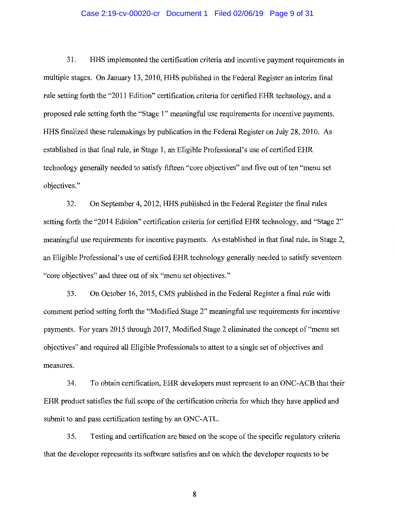#### Case 2:19-cv-00020-cr Document 1 Filed 02/06/19 Page 9 of 31

31. HHS implemented the certification criteria and incentive payment requirements in multiple stages. On January 13, 2010, HHS published in the Federal Register an interim final rule setting forth the "2011 Edition" certification criteria for certified EHR technology, and a proposed rule setting forth the "Stage l" meaningful use requirements for incentive payments. HHS finalized these rulemakings by publication in the Federal Register on July 28, 2010. As established in that final rule, in Stage 1, an Eligible Professional's use of certified EHR technology generally needed to satisfy fifteen "core objectives" and five out of ten "menu set objectives."

32. On September 4, 2012, HHS published in the Federal Register the final rules setting forth the "2014 Edition" certification criteria for certified EHR technology, and "Stage 2" meaningful use requirements for incentive payments. As established in that final rule, in Stage 2, an Eligible Professional's use of certified EHR technology generally needed to satisfy seventeen "core objectives" and three out of six "menu set objectives."

33. On October 16, 2015, CMS published in the Federal Register a final rule with comment period setting forth the "Modified Stage 2" meaningful use requirements for incentive payments. For years 2015 through 2017, Modified Stage 2 eliminated the concept of "menu set objectives" and required all Eligible Professionals to attest to a single set of objectives and measures.

34. To obtain certification, EHR developers must represent to an ONC-ACB that their EHR product satisfies the full scope of the certification criteria for which they have applied and submit to and pass certification testing by an ONC-ATL.

35. Testing and certification are based on the scope of the specific regulatory criteria that the developer represents its software satisfies and on which the developer requests to be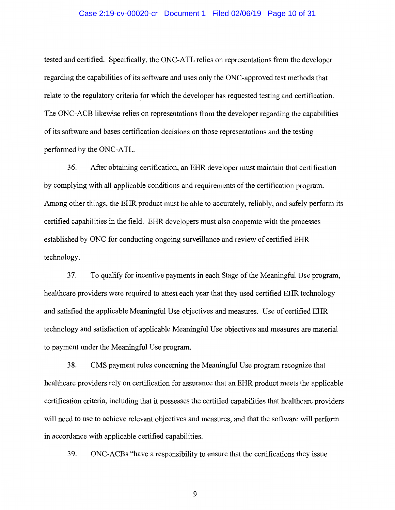#### Case 2:19-cv-00020-cr Document 1 Filed 02/06/19 Page 10 of 31

tested and certified. Specifically, the ONC-ATL relies on representations from the developer regarding the capabilities of its software and uses only the ONC-approved test methods that relate to the regulatory criteria for which the developer has requested testing and certification. The ONC-ACB likewise relies on representations from the developer regarding the capabilities of its software and bases certification decisions on those representations and the testing performed by the ONC-ATL.

36. After obtaining certification, an EHR developer must maintain that certification by complying with all applicable conditions and requirements of the certification program. Among other things, the EHR product must be able to accurately, reliably, and safely perform its certified capabilities in the field. EHR developers must also cooperate with the processes established by ONC for conducting ongoing surveillance and review of certified EHR technology.

37. To qualify for incentive payments in each Stage of the Meaningful Use program, healthcare providers were required to attest each year that they used certified EHR technology and satisfied the applicable Meaningful Use objectives and measures. Use of certified EHR technology and satisfaction of applicable Meaningful Use objectives and measures are material to payment under the Meaningful Use program.

38. CMS payment rules concerning the Meaningful Use program recognize that healthcare providers rely on certification for assurance that an EHR product meets the applicable certification criteria, including that it possesses the certified capabilities that healthcare providers will need to use to achieve relevant objectives and measures, and that the software will perform in accordance with applicable certified capabilities.

39. ONC-ACBs "have a responsibility to ensure that the certifications they issue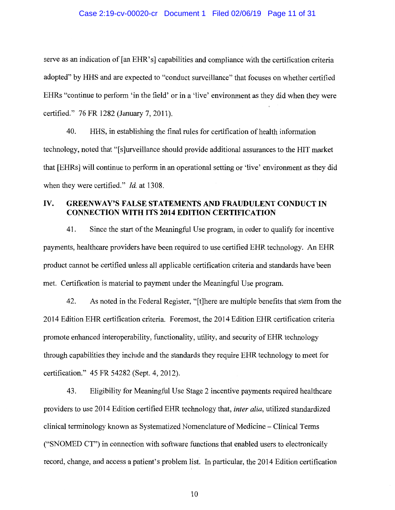#### Case 2:19-cv-00020-cr Document 1 Filed 02/06/19 Page 11 of 31

serve as an indication of [an EHR's] capabilities and compliance with the certification criteria adopted" by HHS and are expected to "conduct surveillance" that focuses on whether certified EHRs "continue to perform 'in the field' or in a 'live' environment as they did when they were certified." 76 FR 1282 (January 7, 2011).

40. HHS, in establishing the final rules for certification of health information technology, noted that "[ s ]urveillance should provide additional assurances to the HIT market that [EHRs] will continue to perform in an operational setting or 'live' environment as they did when they were certified." *Id.* at 1308.

## **IV. GREENWAY'S FALSE STATEMENTS AND FRAUDULENT CONDUCT IN CONNECTION WITH ITS 2014 EDITION CERTIFICATION**

41. Since the start of the Meaningful Use program, in order to qualify for incentive payments, healthcare providers have been required to use certified EHR technology. An EHR product cannot be certified unless all applicable certification criteria and standards have been met. Certification is material to payment under the Meaningful Use program.

42. As noted in the Federal Register, "[t]here are multiple benefits that stem from the 2014 Edition EHR certification criteria. Foremost, the 2014 Edition EHR certification criteria promote enhanced interoperability, functionality, utility, and security of EHR technology through capabilities they include and the standards they require EHR technology to meet for certification." 45 FR 54282 (Sept. 4, 2012).

43. Eligibility for Meaningful Use Stage 2 incentive payments required healthcare providers to use 2014 Edition certified EHR technology that, *inter alia,* utilized standardized clinical terminology known as Systematized Nomenclature of Medicine- Clinical Terms ("SNOMED CT") in connection with software functions that enabled users to electronically record, change, and access a patient's problem list. In particular, the 2014 Edition certification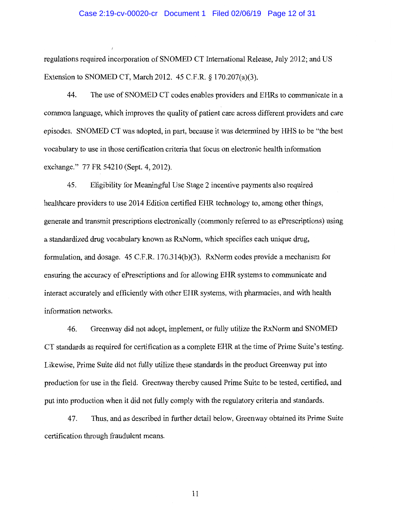#### Case 2:19-cv-00020-cr Document 1 Filed 02/06/19 Page 12 of 31

regulations required incorporation of SNOMED CT International Release, July 2012; and US Extension to SNOMED CT, March 2012. 45 C.F.R. § 170.207(a)(3).

44. The use of SNOMED CT codes enables providers and EHRs to communicate in a common language, which improves the quality of patient care across different providers and care episodes. SNOMED CT was adopted, in part, because it was determined by HHS to be "the best vocabulary to use in those certification criteria that focus on electronic health information exchange." 77 FR 54210 (Sept. 4, 2012).

45. Eligibility for Meaningful Use Stage 2 incentive payments also required healthcare providers to use 2014 Edition certified EHR technology to, among other things, generate and transmit prescriptions electronically ( commonly referred to as ePrescriptions) using a standardized drug vocabulary known as RxNorm, which specifies each unique drug, formulation, and dosage.  $45$  C.F.R. 170.314(b)(3). RxNorm codes provide a mechanism for ensuring the accuracy of ePrescriptions and for allowing EHR systems to communicate and interact accurately and efficiently with other EHR systems, with pharmacies, and with health information networks.

46. Greenway did not adopt, implement, or fully utilize the RxNorm and SNOMED CT standards as required for certification as a complete EHR at the time of Prime Suite's testing. Likewise, Prime Suite did not fully utilize these standards in the product Greenway put into production for use in the field. Greenway thereby caused Prime Suite to be tested, certified, and put into production when it did not fully comply with the regulatory criteria and standards.

47. Thus, and as described in further detail below, Greenway obtained its Prime Suite certification through fraudulent means.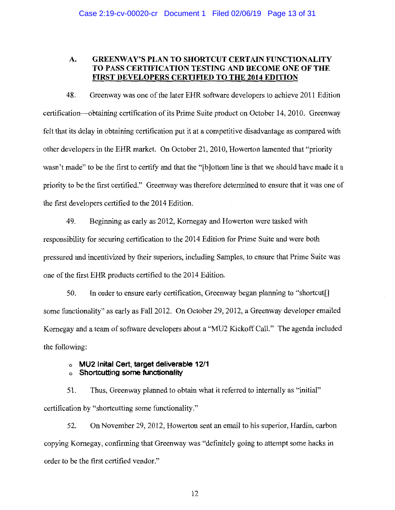## **A. GREENWAY'S\_PLAN TO SHORTCUT CERTAIN FUNCTIONALITY TO PASS CERTIFICATION TESTING AND BECOME ONE OF THE FIRST DEVELOPERS CERTIFIED TO THE 2014 EDITION**

48. Greenway was one of the later EHR software developers to achieve 2011 Edition certification-obtaining certification of its Prime Suite product on October 14, 2010. Greenway felt that its delay in obtaining certification put it at a competitive disadvantage as compared with other developers in the EHR market. On October 21, 2010, Howerton lamented that "priority wasn't made" to be the first to certify and that the "[b]ottom line is that we should have made it a priority to be the first certified." Greenway was therefore determined to ensure that it was one of the first developers certified to the 2014 Edition.

49. Beginning as early as 2012, Kornegay and Howerton were tasked with responsibility for securing certification to the 2014 Edition for Prime Suite and were both pressured and incentivized by their superiors, including Samples, to ensure that Prime Suite was one of the first EHR products certified to the 2014 Edition.

50. In order to ensure early certification, Greenway began planning to "shortcut[] some functionality" as early as Fall 2012. On October 29, 2012, a Greenway developer emailed Kornegay and a team of software developers about a "MU2 Kickoff Call." The agenda included the following:

#### o **MU2 lnital Cert, target deliverable 12/1**  o **Shortcutting some functionality**

51. Thus, Greenway planned to obtain what it referred to internally as "initial" certification by "shortcutting some functionality."

52. On November 29, 2012, Howerton sent an email to his superior, Hardin, carbon copying Kornegay, confirming that Greenway was "definitely going to attempt some hacks in order to be the first certified vendor."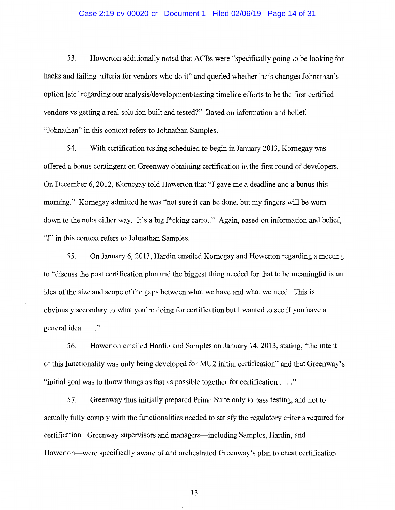#### Case 2:19-cv-00020-cr Document 1 Filed 02/06/19 Page 14 of 31

53. Howerton additionally noted that ACBs were "specifically going to be looking for hacks and failing criteria for vendors who do it" and queried whether "this changes Johnathan's option [sic] regarding our analysis/development/testing timeline efforts to be the first certified vendors vs getting a real solution built and tested?" Based on information and belief, "Johnathan" in this context refers to Johnathan Samples.

54. With certification testing scheduled to begin in January 2013, Kornegay was offered a bonus contingent on Greenway obtaining certification in the first round of developers. On December 6, 2012, Kornegay told Howerton that "J gave me a deadline and a bonus this morning." Kornegay admitted he was "not sure it can be done, but my fingers will be worn down to the nubs either way. It's a big f<sup>\*</sup>cking carrot." Again, based on information and belief, "J" in this context refers to Johnathan Samples.

55. On January 6, 2013, Hardin emailed Kornegay and Howerton regarding a meeting to "discuss the post certification plan and the biggest thing needed for that to be meaningful is an idea of the size and scope of the gaps between what we have and what we need. This is obviously secondary to what you're doing for certification but I wanted to see if you have a general idea . . . ."

56. Howerton emailed Hardin and Samples on January 14, 2013, stating, "the intent of this functionality was only being developed for MU2 initial certification" and that Greenway's "initial goal was to throw things as fast as possible together for certification .... "

57. Greenway thus initially prepared Prime Suite only to pass testing, and not to actually fully comply with the functionalities needed to satisfy the regulatory criteria required for certification. Greenway supervisors and managers—including Samples, Hardin, and Howerton—were specifically aware of and orchestrated Greenway's plan to cheat certification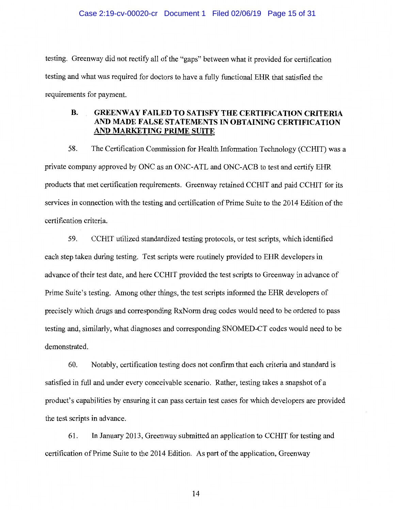#### Case 2:19-cv-00020-cr Document 1 Filed 02/06/19 Page 15 of 31

testing. Greenway did not rectify all of the "gaps" between what it provided for certification testing and what was required for doctors to have a fully functional EHR that satisfied the requirements for payment.

## **B. GREENWAY FAILED TO SATISFY THE CERTIFICATION CRITERIA AND MADE FALSE STATEMENTS IN OBTAINING CERTIFICATION AND MARKETING PRIME SUITE**

58. The Certification Commission for Health Information Technology (CCHIT) was a private company approved by ONC as an ONC-ATL and ONC-ACB to test and certify EHR products that met certification requirements. Greenway retained CCHIT and paid CCHIT for its services in connection with the testing and certification of Prime Suite to the 2014 Edition of the certification criteria.

59. CCHIT utilized standardized testing protocols, or test scripts, which identified each step taken during testing. Test scripts were routinely provided to EHR developers in advance of their test date, and here CCHIT provided the test scripts to Greenway in advance of Prime Suite's testing. Among other things, the test scripts informed the EHR developers of precisely which drugs and corresponding RxNorm drug codes would need to be ordered to pass testing and, similarly, what diagnoses and corresponding SNOMED-CT codes would need to be demonstrated.

60. Notably, certification testing does not confirm that each criteria and standard is satisfied in full and under every conceivable scenario. Rather, testing takes a snapshot of a product's capabilities by ensuring it can pass certain test cases for which developers are provided the test scripts in advance.

61. In January 2013, Greenway submitted an application to CCHIT for testing and certification of Prime Suite to the 2014 Edition. As part of the application, Greenway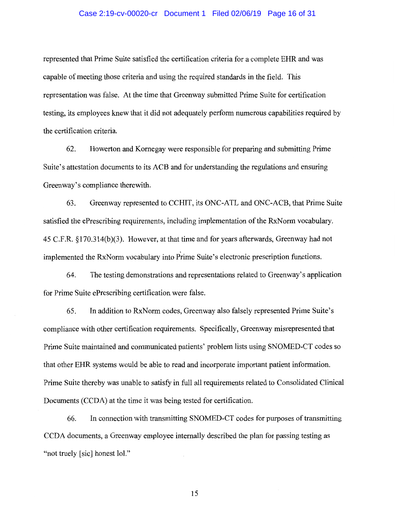#### Case 2:19-cv-00020-cr Document 1 Filed 02/06/19 Page 16 of 31

represented that Prime Suite satisfied the certification criteria for a complete EHR and was capable of meeting those criteria and using the required standards in the field. This representation was false. At the time that Greenway submitted Prime Suite for certification testing, its employees knew that it did not adequately perform numerous capabilities required by the certification criteria.

62. Howerton and Kornegay were responsible for preparing and submitting Prime Suite's attestation documents to its ACB and for understanding the regulations and ensuring Greenway's compliance therewith.

63. Greenway represented to CCHIT, its ONC-ATL and ONC-ACB, that Prime Suite satisfied the ePrescribing requirements, including implementation of the RxNorm vocabulary. 45 C.F.R. §170.314(b)(3). However, at that time and for years afterwards, Greenway had not implemented the Rx.Norm vocabulary into Prime Suite's electronic prescription functions.

64. The testing demonstrations and representations related to Greenway's application for Prime Suite ePrescribing certification were false.

65. In addition to Rx.Norm codes, Greenway also falsely represented Prime Suite's compliance with other certification requirements. Specifically, Greenway misrepresented that Prime Suite maintained and communicated patients' problem lists using SNOMED-CT codes so that other EHR systems would be able to read and incorporate important patient information. Prime Suite thereby was unable to satisfy in full all requirements related to Consolidated Clinical Documents (CCDA) at the time it was being tested for certification.

66. In connection with transmitting SNOMED-CT codes for purposes of transmitting CCDA documents, a Greenway employee internally described the plan for passing testing as "not truely [sic] honest lol."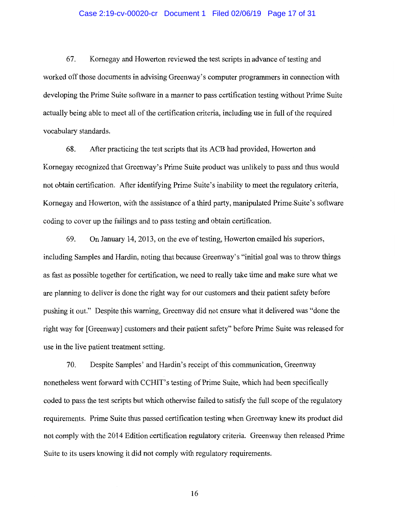#### Case 2:19-cv-00020-cr Document 1 Filed 02/06/19 Page 17 of 31

67. Kornegay and Howerton reviewed the test scripts in advance of testing and worked off those documents in advising Greenway' s computer programmers in connection with developing the Prime Suite software in a manner to pass certification testing without Prime Suite actually being able to meet all of the certification criteria, including use in full of the required vocabulary standards.

68. After practicing the test scripts that its ACB had provided, Howerton and Kornegay recognized that Greenway's Prime Suite product was unlikely to pass and thus would not obtain certification. After identifying Prime Suite's inability to meet the regulatory criteria, Kornegay and Howerton, with the assistance of a third party, manipulated Prime-Suite's software coding to cover up the failings and to pass testing and obtain certification.

69. On January 14, 2013, on the eve of testing, Howerton emailed his superiors, including Samples and Hardin, noting that because Greenway's "initial goal was to throw things as fast as possible together for certification, we need to really take time and make sure what we are planning to deliver is done the right way for our customers and their patient safety before pushing it out." Despite this warning, Greenway did not ensure what it delivered was "done the right way for [Greenway] customers and their patient safety" before Prime Suite was released for use in the live patient treatment setting.

70. Despite Samples' and Hardin's receipt of this communication, Greenway nonetheless went forward with CCHIT's testing of Prime Suite, which had been specifically coded to pass the test scripts but which otherwise failed to satisfy the full scope of the regulatory requirements. Prime Suite thus passed certification testing when Greenway knew its product did not comply with the 2014 Edition certification regulatory criteria. Greenway then released Prime Suite to its users knowing it did not comply with regulatory requirements.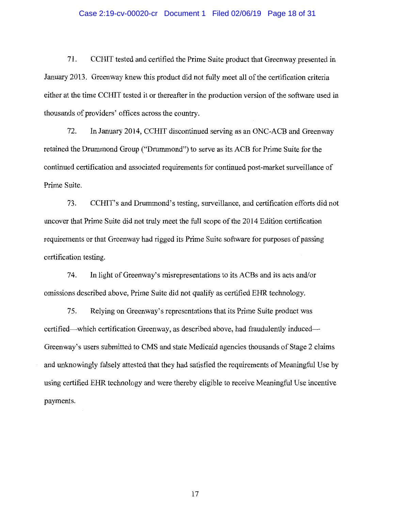#### Case 2:19-cv-00020-cr Document 1 Filed 02/06/19 Page 18 of 31

71. CCHIT tested and certified the Prime Suite product that Greenway presented in January 2013. Greenway knew this product did not fully meet all of the certification criteria either at the time CCHIT tested it or thereafter in the production version of the software used in thousands of providers' offices across the country.

72. In January 2014, CCHIT discontinued serving as an ONC-ACB and Greenway retained the Drummond Group ("Drummond") to serve as its ACB for Prime Suite for the continued certification and associated requirements for continued post-market surveillance of Prime Suite.

73. CCHIT's and Drummond's testing, surveillance, and certification efforts did not uncover that Prime Suite did not truly meet the full scope of the 2014 Edition certification requirements or that Greenway had rigged its Prime Suite software for purposes of passing certification testing.

74. In light of Greenway's misrepresentations to its ACBs and its acts and/or omissions described above, Prime Suite did not qualify as certified EHR technology.

75. Relying on Greenway's representations that its Prime Suite product was certified—which certification Greenway, as described above, had fraudulently induced— Greenway's users submitted to CMS and state Medicaid agencies thousands of Stage 2 claims and unknowingly falsely attested that they had satisfied the requirements of Meaningful Use by using certified EHR technology and were thereby eligible to receive Meaningful Use incentive payments.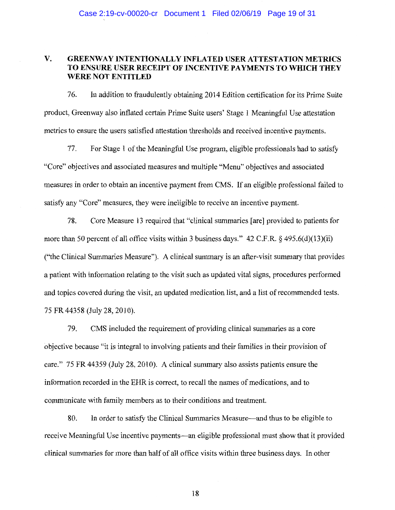## **V. GREENWAY INTENTIONALLY INFLATED USER ATTESTATION METRICS TO ENSURE USER RECEIPT OF INCENTIVE PAYMENTS TO WHICH THEY WERE NOT ENTITLED**

76. In addition to fraudulently obtaining 2014 Edition certification for its Prime Suite product, Greenway also inflated certain Prime Suite users' Stage 1 Meaningful Use attestation metrics to ensure the users satisfied attestation thresholds and received incentive payments.

77. For Stage 1 of the Meaningful Use program, eligible professionals had to satisfy "Core" objectives and associated measures and multiple "Menu" objectives and associated measures in order to obtain an incentive payment from CMS. If an eligible professional failed to satisfy any "Core" measures, they were ineligible to receive an incentive payment.

78. Core Measure 13 required that "clinical summaries [are] provided to patients for more than 50 percent of all office visits within 3 business days." 42 C.F.R. § 495.6(d)(13)(ii) ("the Clinical Summaries Measure"). A clinical summary is an after-visit summary that provides a patient with information relating to the visit such as updated vital signs, procedures performed and topics covered during the visit, an updated medication list, and a list of recommended tests. 75 FR 44358 (July 28, 2010).

79. CMS included the requirement of providing clinical summaries as a core objective because "it is integral to involving patients and their families in their provision of care." 75 FR 44359 (July 28, 2010). A clinical summary also assists patients ensure the information recorded in the EHR is correct, to recall the names of medications, and to communicate with family members as to their conditions and treatment.

80. In order to satisfy the Clinical Summaries Measure—and thus to be eligible to receive Meaningful Use incentive payments—an eligible professional must show that it provided clinical summaries for more than half of all office visits within three business days. In other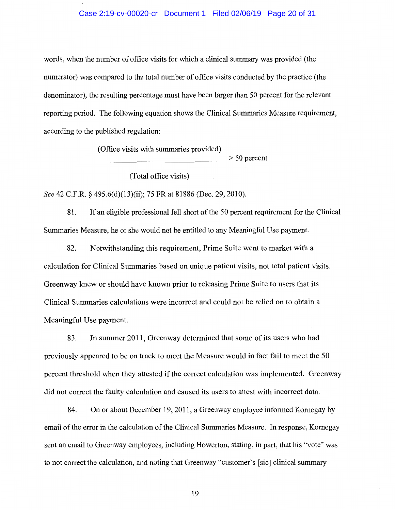#### Case 2:19-cv-00020-cr Document 1 Filed 02/06/19 Page 20 of 31

words, when the number of office visits for which a clinical summary was provided (the numerator) was compared to the total number of office visits conducted by the practice (the denominator), the resulting percentage must have been larger than 50 percent for the relevant reporting period. The following equation shows the Clinical Summaries Measure requirement, according to the published regulation:

(Office visits with summaries provided)

> 50 percent

(Total office visits)

*See* 42 C.F.R. § 495.6(d)(13)(ii); 75 FR at 81886 (Dec. 29, 2010).

81. If an eligible professional fell short of the 50 percent requirement for the Clinical Summaries Measure, he or she would not be entitled to any Meaningful Use payment.

82. Notwithstanding this requirement, Prime Suite went to market with a calculation for Clinical Summaries based on unique patient visits, not total patient visits. Greenway knew or should have known prior to releasing Prime Suite to users that its Clinical Summaries calculations were incorrect and could not be relied on to obtain a Meaningful Use payment.

83. In summer 2011, Greenway determined that some of its users who had previously appeared to be on track to meet the Measure would in fact fail to meet the 50 percent threshold when they attested if the correct calculation was implemented. Greenway did not correct the faulty calculation and caused its users to attest with incorrect data.

84. On or about December 19, 2011, a Greenway employee informed Kornegay by email of the error in the calculation of the Clinical Summaries Measure. In response, Kornegay sent an email to Greenway employees, including Howerton, stating, in part, that his "vote" was to not correct the calculation, and noting that Greenway "customer's [sic] clinical summary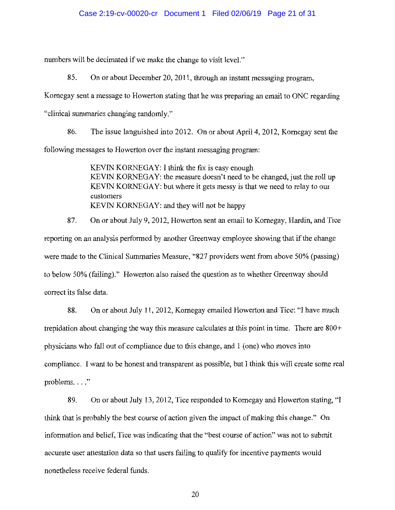numbers will be decimated if we make the change to visit level."

85. On or about December 20, 2011, through an instant messaging program,

Kornegay sent a message to Howerton stating that he was preparing an email to ONC regarding

"clinical summaries changing randomly."

86. The issue languished into 2012. On or about April 4, 2012, Kornegay sent the following messages to Howerton over the instant messaging program:

> KEVIN KORNEGAY: I think the fix is easy enough KEVIN KORNEGAY: the measure doesn't need to be changed, just the roll up KEVIN KORNEGAY: but where it gets messy is that we need to relay to our customers KEVIN KORNEGAY: and they will not be happy

87. On or about July 9, 2012, Howerton sent an email to Kornegay, Hardin, and Tice reporting on an analysis performed by another Greenway employee showing that if the change were made to the Clinical Summaries Measure, "827 providers went from above 50% (passing) to below 50% (failing)." Howerton also raised the question as to whether Greenway should correct its false data.

88. On or about July 11, 2012, Kornegay emailed Howerton and Tice: "I have much trepidation about changing the way this measure calculates at this point in time. There are 800+ physicians who fall out of compliance due to this change, and 1 (one) who moves into compliance. I want to be honest and transparent as possible, but I think this will create some real problems..."

89. On or about July 13, 2012, Tice responded to Kornegay and Howerton stating, "I think that is probably the best course of action given the impact of making this change." On information and belief, Tice was indicating that the "best course of action" was not to submit accurate user attestation data so that users failing to qualify for incentive payments would nonetheless receive federal funds.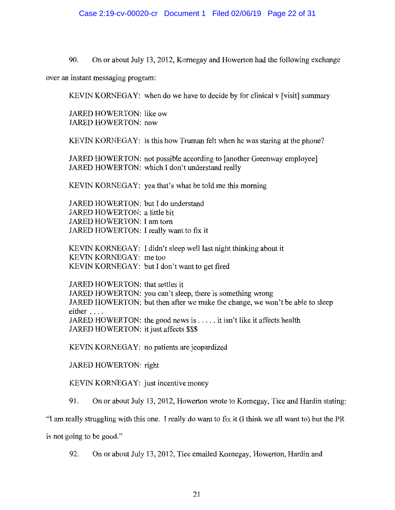90. On or about July 13, 2012, Kornegay and Howerton had the following exchange

over an instant messaging program:

KEVIN KORNEGAY: when do we have to decide by for clinical v [visit] summary

JARED HOWERTON: like ow JARED HOWERTON: now

KEVIN KORNEGAY: is this how Truman felt when he was staring at the phone?

JARED HOWERTON: not possible according to [another Greenway employee] JARED HOWERTON: which I don't understand really

KEVIN KORNEGAY: yea that's what he told me this morning

JARED HOWERTON: but I do understand JARED HOWERTON: a little bit JARED HOWERTON: I am tom JARED HOWERTON: I really want to fix it

KEVIN KORNEGAY: I didn't sleep well last night thinking about it KEVIN KORNEGAY: me too KEVIN KORNEGAY: but I don't want to get fired

JARED HOWERTON: that settles it JARED HOWERTON: you can't sleep, there is something wrong JARED HOWERTON: but then after we make the change, we won't be able to sleep either .... JARED HOWERTON: the good news is ..... it isn't like it affects health JARED HOWERTON: it just affects \$\$\$

KEVIN KORNEGAY: no patients are jeopardized

JARED HOWERTON: right

KEVIN KORNEGAY: just incentive money

91. On or about July 13, 2012, Howerton wrote to Kornegay, Tice and Hardin stating:

"I am really struggling with this one. I really do want to fix it (I think we all want to) but the PR

is not going to be good."

92. On or about July 13, 2012, Tice emailed Kornegay, Howerton, Hardin and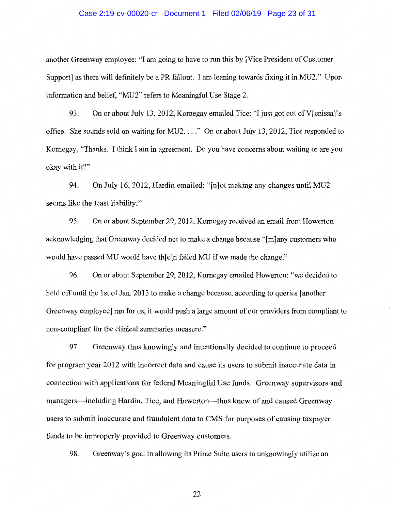#### Case 2:19-cv-00020-cr Document 1 Filed 02/06/19 Page 23 of 31

another Greenway employee: "I am going to have to run this by [Vice President of Customer Support] as there will definitely be a PR fallout. I am leaning towards fixing it in MU2." Upon information and belief, "MU2" refers to Meaningful Use Stage 2.

93. On or about July 13, 2012, Kornegay emailed Tice: "I just got out of V[enissa]'s office. She sounds sold on waiting for MU2 .... " On or about July 13, 2012, Tice responded to Kornegay, "Thanks. I think I am in agreement. Do you have concerns about waiting or are you okay with it?"

94. On July 16, 2012, Hardin emailed: "[n]ot making any changes until MU2 seems like the least liability."

95. On or about September 29, 2012, Kornegay received an email from Howerton acknowledging that Greenway decided not to make a change because "[m]any customers who would have passed MU would have th[e]n failed MU if we made the change."

96. On or about September 29, 2012, Kornegay emailed Howerton: "we decided to hold off until the 1st of Jan. 2013 to make a change because, according to queries [another Greenway employee] ran for us, it would push a large amount of our providers from compliant to non-compliant for the clinical summaries measure."

97. Greenway thus knowingly and intentionally decided to continue to proceed for program year 2012 with incorrect data and cause its users to submit inaccurate data in connection with applications for federal Meaningful Use funds. Greenway supervisors and managers—including Hardin, Tice, and Howerton—thus knew of and caused Greenway users to submit inaccurate and fraudulent data to CMS for purposes of causing taxpayer funds to be improperly provided to Greenway customers.

98. Greenway's goal in allowing its Prime Suite users to unknowingly utilize an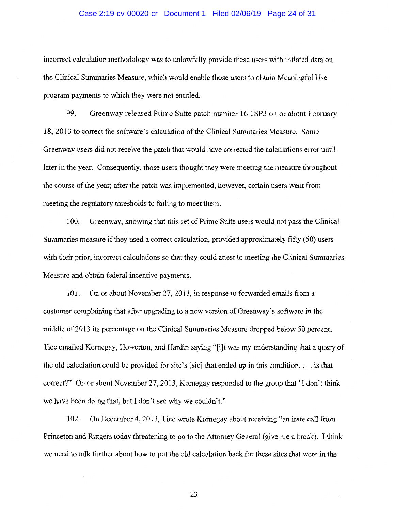#### Case 2:19-cv-00020-cr Document 1 Filed 02/06/19 Page 24 of 31

incorrect calculation methodology was to unlawfully provide these users with inflated data on the Clinical Summaries Measure, which would enable those users to obtain Meaningful Use program payments to which they were not entitled.

99. Greenway released Prime Suite patch number 16.1SP3 on or about February 18, 2013 to correct the software's calculation of the Clinical Summaries Measure. Some Greenway users did not receive the patch that would have corrected the calculations error until later in the year. Consequently, those users thought they were meeting the measure throughout the course of the year; after the patch was implemented, however, certain users went from meeting the regulatory thresholds to failing to meet them.

100. Greenway, knowing that this set of Prime Suite users would not pass the Clinical Summaries measure if they used a correct calculation, provided approximately fifty (50) users with their prior, incorrect calculations so that they could attest to meeting the Clinical Summaries Measure and obtain federal incentive payments.

101. On or about November 27, 2013, in response to forwarded emails from a customer complaining that after upgrading to a new version of Greenway's software in the middle of 2013 its percentage on the Clinical Summaries Measure dropped below 50 percent, Tice emailed Kornegay, Howerton, and Hardin saying "[i]t was my understanding that a query of the old calculation could be provided for site's [sic] that ended up in this condition... is that correct?" On or about November 27, 2013, Kornegay responded to the group that "I don't think we have been doing that, but I don't see why we couldn't."

102. On December 4, 2013, Tice wrote Kornegay about receiving "an irate call from Princeton and Rutgers today threatening to go to the Attorney General (give me a break). I think we need to talk further about how to put the old calculation back for these sites that were in the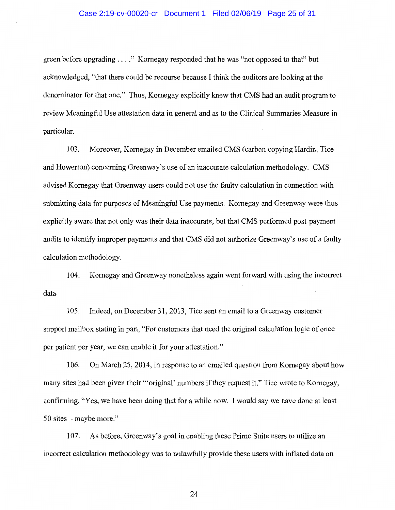#### Case 2:19-cv-00020-cr Document 1 Filed 02/06/19 Page 25 of 31

green before upgrading .... " Kornegay responded that he was "not opposed to that" but acknowledged, "that there could be recourse because I think the auditors are looking at the denominator for that one." Thus, Kornegay explicitly knew that CMS had an audit program to review Meaningful Use attestation data in general and as to the Clinical Summaries Measure in particular.

103. Moreover, Kornegay in December emailed CMS (carbon copying Hardin, Tice and Howerton) concerning Greenway's use of an inaccurate calculation methodology. CMS advised Kornegay that Greenway users could not use the faulty calculation in connection with submitting data for purposes of Meaningful Use payments. Kornegay and Greenway were thus explicitly aware that not only was their data inaccurate, but that CMS performed post-payment audits to identify improper payments and that CMS did not authorize Greenway's use of a faulty calculation methodology.

104. Kornegay and Greenway nonetheless again went forward with using the incorrect data.

105. Indeed, on December 31, 2013, Tice sent an email to a Greenway customer support mailbox stating in part, "For customers that need the original calculation logic of once per patient per year, we can enable it for your attestation."

106. On March 25, 2014, in response to an emailed question from Kornegay about how many sites had been given their "'original' numbers if they request it," Tice wrote to Kornegay, confirming, "Yes, we have been doing that for a while now. I would say we have done at least 50 sites - maybe more."

107. As before, Greenway's goal in enabling these Prime Suite users to utilize an incorrect calculation methodology was to unlawfully provide these users with inflated data on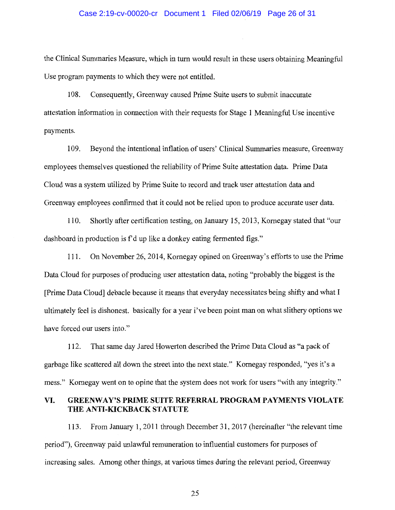#### Case 2:19-cv-00020-cr Document 1 Filed 02/06/19 Page 26 of 31

the Clinical Summaries Measure, which in turn would result in these users obtaining Meaningful Use program payments to which they were not entitled.

108. Consequently, Greenway caused Prime Suite users to submit inaccurate attestation information in connection with their requests for Stage 1 Meaningful Use incentive payments.

109. Beyond the intentional inflation of users' Clinical Summaries measure, Greenway employees themselves questioned the reliability of Prime Suite attestation data. Prime Data Cloud was a system utilized by Prime Suite to record and track user attestation data and Greenway employees confirmed that it could not be relied upon to produce accurate user data.

110. Shortly after certification testing, on January 15, 2013, Kornegay stated that "our dashboard in production is f'd up like a donkey eating fermented figs."

111. On November 26, 2014, Kornegay opined on Greenway's efforts to use the Prime Data Cloud for purposes of producing user attestation data, noting "probably the biggest is the [Prime Data Cloud] debacle because it means that everyday necessitates being shifty and what I ultimately feel is dishonest. basically for a year i've been point man on what slithery options we have forced our users into."

112. That same day Jared Howerton described the Prime Data Cloud as "a pack of garbage like scattered all down the street into the next state." Kornegay responded, "yes it's a mess." Kornegay went on to opine that the system does not work for users "with any integrity."

## **VI. GREENWAY'S PRIME SUITE REFERRAL PROGRAM PAYMENTS VIOLATE THE ANTI-KICKBACK STATUTE**

113. From January 1, 2011 through December 31, 2017 (hereinafter "the relevant time period"), Greenway paid unlawful remuneration to influential customers for purposes of increasing sales. Among other things, at various times during the relevant period, Greenway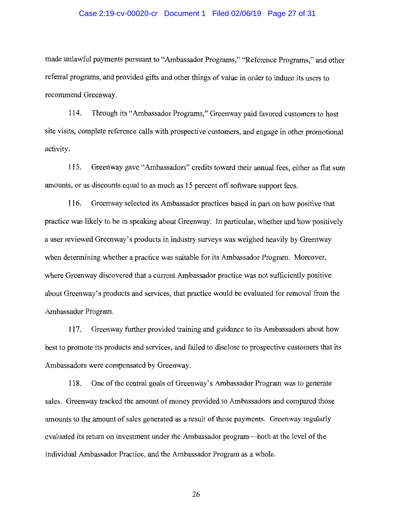#### Case 2:19-cv-00020-cr Document 1 Filed 02/06/19 Page 27 of 31

made unlawful payments pursuant to "Ambassador Programs," "Reference Programs," and other referral programs, and provided gifts and other things of value in order to induce its users to recommend Greenway.

114. Through its "Ambassador Programs," Greenway paid favored customers to host site visits, complete reference calls with prospective customers, and engage in other promotional activity.

115. Greenway gave "Ambassadors" credits toward their annual fees, either as flat sum amounts, or as discounts equal to as much as 15 percent off software support fees.

116. Greenway selected its Ambassador practices based in part on how positive that practice was likely to be in speaking about Greenway. In particular, whether and how positively a user reviewed Greenway's products in industry surveys was weighed heavily by Greenway when determining whether a practice was suitable for its Ambassador Program. Moreover, where Greenway discovered that a current Ambassador practice was not sufficiently positive about Greenway's products and services, that practice would be evaluated for removal from the Ambassador Program.

117. Greenway further provided training and guidance to its Ambassadors about how best to promote its products and services, and failed to disclose to prospective customers that its Ambassadors were compensated by Greenway.

118. One of the central goals of Greenway's Ambassador Program was to generate sales. Greenway tracked the amount of money provided to Ambassadors and compared those amounts to the amount of sales generated as a result of those payments. Greenway regularly evaluated its return on investment under the Ambassador program-both at the level of the individual Ambassador Practice, and the Ambassador Program as a whole.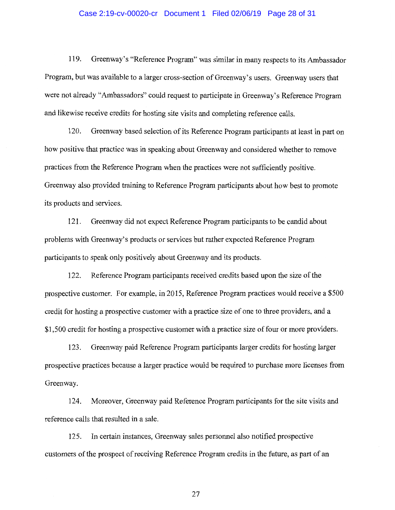#### Case 2:19-cv-00020-cr Document 1 Filed 02/06/19 Page 28 of 31

119. Greenway's "Reference Program" was similar in many respects to its Ambassador Program, but was available to a larger cross-section of Greenway's users. Greenway users that were not already "Ambassadors" could request to participate in Greenway's Reference Program and likewise receive credits for hosting site visits and completing reference calls.

120. Greenway based selection of its Reference Program participants at least in part on how positive that practice was in speaking about Greenway and considered whether to remove practices from the Reference Program when the practices were not sufficiently positive. Greenway also provided training to Reference Program participants about how best to promote its products and services.

121. Greenway did not expect Reference Program participants to be candid about problems with Greenway' s products or services but rather expected Reference Program participants to speak only positively about Greenway and its products.

122. Reference Program participants received credits based upon the size of the prospective customer. For example, in 2015, Reference Program practices would receive a \$500 credit for hosting a prospective customer with a practice size of one to three providers, and a \$1,500 credit for hosting a prospective customer with a practice size of four or more providers.

123. Greenway paid Reference Program participants larger credits for hosting larger prospective practices because a larger practice would be required to purchase more licenses from Greenway.

124. Moreover, Greenway paid Reference Program participants for the site visits and reference calls that resulted in a sale.

125. In certain instances, Greenway sales personnel also notified prospective customers of the prospect of receiving Reference Program credits in the future, as part of an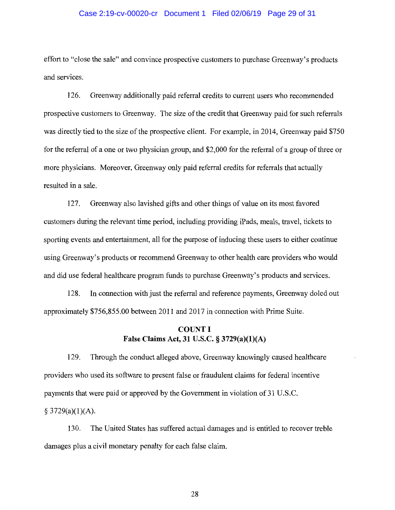#### Case 2:19-cv-00020-cr Document 1 Filed 02/06/19 Page 29 of 31

effort to "close the sale" and convince prospective customers to purchase Greenway' s products and services.

126. Greenway additionally paid referral credits to current users who recommended prospective customers to Greenway. The size of the credit that Greenway paid for such referrals was directly tied to the size of the prospective client. For example, in 2014, Greenway paid \$750 for the referral of a one or two physician group, and \$2,000 for the referral of a group of three or more physicians. Moreover, Greenway only paid referral credits for referrals that actually resulted in a sale.

127. Greenway also lavished gifts and other things of value on its most favored customers during the relevant time period, including providing iPads, meals, travel, tickets to sporting events and entertainment, all for the purpose of inducing these users to either continue using Greenway's products or recommend Greenway to other health care providers who would and did use federal healthcare program funds to purchase Greenway's products and services.

128. In connection with just the referral and reference payments, Greenway doled out approximately \$756,855.00 between 2011 and 2017 in connection with Prime Suite.

# **COUNTI False Claims Act, 31 U.S.C. § 3729(a)(l)(A)**

129. Through the conduct alleged above, Greenway knowingly caused healthcare providers who used its software to present false or fraudulent claims for federal incentive payments that were paid or approved by the Government in violation of 31 U.S.C.

 $§$  3729(a)(1)(A).

130. The United States has suffered actual damages and is entitled to recover treble damages plus a civil monetary penalty for each false claim.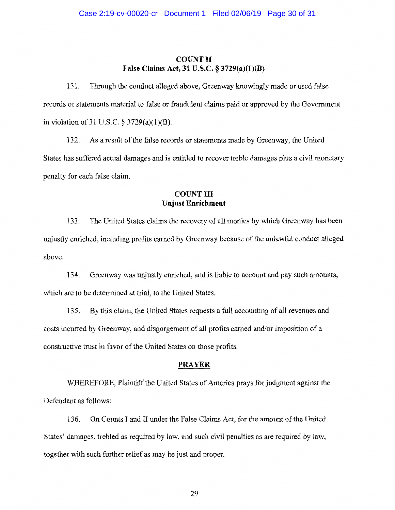### **COUNT II False Claims Act, 31 U.S.C. § 3729(a)(l)(B)**

131. Through the conduct alleged above, Greenway knowingly made or used false records or statements material to false or fraudulent claims paid or approved by the Government in violation of 31 U.S.C.  $\S 3729(a)(1)(B)$ .

132. As a result of the false records or statements made by Greenway, the United States has suffered actual damages and is entitled to recover treble damages plus a civil monetary penalty for each false claim.

## **COUNT III Unjust Enrichment**

133. The United States claims the recovery of all monies by which Greenway has been unjustly enriched, including profits earned by Greenway because of the unlawful conduct alleged above.

134. Greenway was unjustly enriched, and is liable to account and pay such amounts, which are to be determined at trial, to the United States.

135. By this claim, the United States requests a full accounting of all revenues and costs incurred by Greenway, and disgorgement of all profits earned and/or imposition of a constructive trust in favor of the United States on those profits.

### **PRAYER**

WHEREFORE, Plaintiff the United States of America prays for judgment against the Defendant as follows:

136. On Counts I and II under the False Claims Act, for the amount of the United States' damages, trebled as required by law, and such civil penalties as are required by law, together with such further relief as may be just and proper.